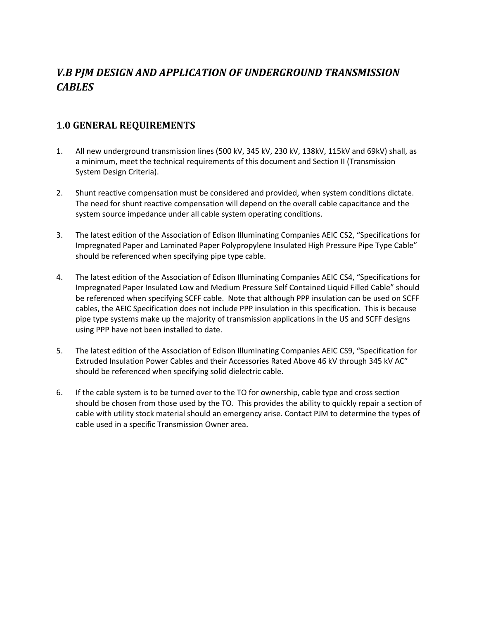# *V.B PJM DESIGN AND APPLICATION OF UNDERGROUND TRANSMISSION CABLES*

#### **1.0 GENERAL REQUIREMENTS**

- 1. All new underground transmission lines (500 kV, 345 kV, 230 kV, 138kV, 115kV and 69kV) shall, as a minimum, meet the technical requirements of this document and Section II (Transmission System Design Criteria).
- 2. Shunt reactive compensation must be considered and provided, when system conditions dictate. The need for shunt reactive compensation will depend on the overall cable capacitance and the system source impedance under all cable system operating conditions.
- 3. The latest edition of the Association of Edison Illuminating Companies AEIC CS2, "Specifications for Impregnated Paper and Laminated Paper Polypropylene Insulated High Pressure Pipe Type Cable" should be referenced when specifying pipe type cable.
- 4. The latest edition of the Association of Edison Illuminating Companies AEIC CS4, "Specifications for Impregnated Paper Insulated Low and Medium Pressure Self Contained Liquid Filled Cable" should be referenced when specifying SCFF cable. Note that although PPP insulation can be used on SCFF cables, the AEIC Specification does not include PPP insulation in this specification. This is because pipe type systems make up the majority of transmission applications in the US and SCFF designs using PPP have not been installed to date.
- 5. The latest edition of the Association of Edison Illuminating Companies AEIC CS9, "Specification for Extruded Insulation Power Cables and their Accessories Rated Above 46 kV through 345 kV AC" should be referenced when specifying solid dielectric cable.
- 6. If the cable system is to be turned over to the TO for ownership, cable type and cross section should be chosen from those used by the TO. This provides the ability to quickly repair a section of cable with utility stock material should an emergency arise. Contact PJM to determine the types of cable used in a specific Transmission Owner area.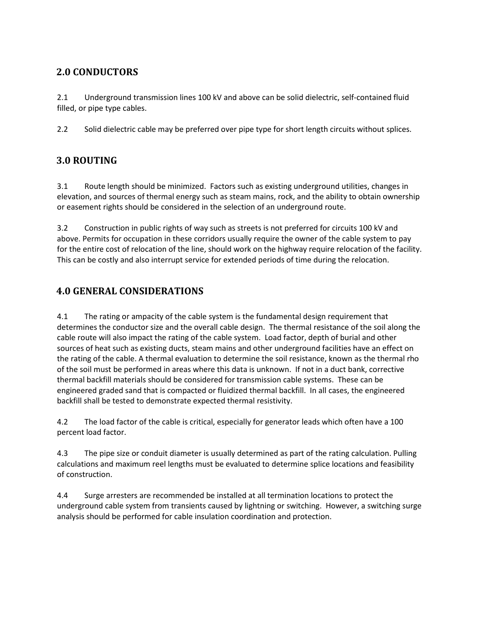### **2.0 CONDUCTORS**

2.1 Underground transmission lines 100 kV and above can be solid dielectric, self-contained fluid filled, or pipe type cables.

2.2 Solid dielectric cable may be preferred over pipe type for short length circuits without splices.

### **3.0 ROUTING**

3.1 Route length should be minimized. Factors such as existing underground utilities, changes in elevation, and sources of thermal energy such as steam mains, rock, and the ability to obtain ownership or easement rights should be considered in the selection of an underground route.

3.2 Construction in public rights of way such as streets is not preferred for circuits 100 kV and above. Permits for occupation in these corridors usually require the owner of the cable system to pay for the entire cost of relocation of the line, should work on the highway require relocation of the facility. This can be costly and also interrupt service for extended periods of time during the relocation.

### **4.0 GENERAL CONSIDERATIONS**

4.1 The rating or ampacity of the cable system is the fundamental design requirement that determines the conductor size and the overall cable design. The thermal resistance of the soil along the cable route will also impact the rating of the cable system. Load factor, depth of burial and other sources of heat such as existing ducts, steam mains and other underground facilities have an effect on the rating of the cable. A thermal evaluation to determine the soil resistance, known as the thermal rho of the soil must be performed in areas where this data is unknown. If not in a duct bank, corrective thermal backfill materials should be considered for transmission cable systems. These can be engineered graded sand that is compacted or fluidized thermal backfill. In all cases, the engineered backfill shall be tested to demonstrate expected thermal resistivity.

4.2 The load factor of the cable is critical, especially for generator leads which often have a 100 percent load factor.

4.3 The pipe size or conduit diameter is usually determined as part of the rating calculation. Pulling calculations and maximum reel lengths must be evaluated to determine splice locations and feasibility of construction.

4.4 Surge arresters are recommended be installed at all termination locations to protect the underground cable system from transients caused by lightning or switching. However, a switching surge analysis should be performed for cable insulation coordination and protection.